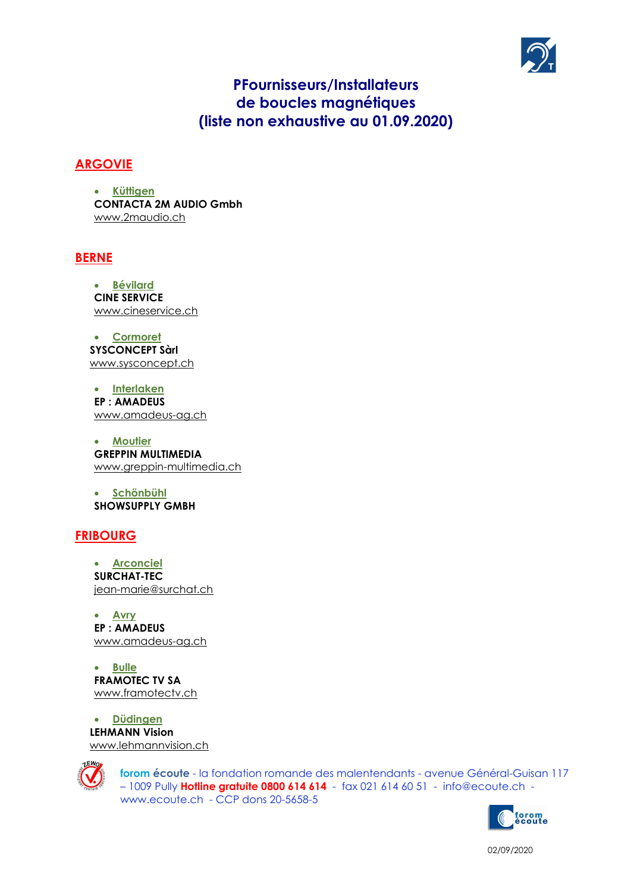

# **PFournisseurs/Installateurs** de boucles magnétiques (liste non exhaustive au 01.09.2020)

### **ARGOVIE**

Küttigen  $\bullet$ **CONTACTA 2M AUDIO Gmbh** www.2maudio.ch

#### **BERNE**

· Bévilard **CINE SERVICE** www.cineservice.ch

• Cormoret **SYSCONCEPT Sàrl** www.sysconcept.ch

• Interlaken **EP: AMADEUS** www.amadeus-ag.ch

• Moutier **GREPPIN MULTIMEDIA** www.greppin-multimedia.ch

· Schönbühl **SHOWSUPPLY GMBH** 

#### **FRIBOURG**

• Arconciel SURCHAT-TEC jean-marie@surchat.ch

• Avry **EP: AMADEUS** www.amadeus-ag.ch

• Bulle **FRAMOTEC TV SA** www.framotectv.ch

**Düdingen**  $\bullet$ **LEHMANN Vision** www.lehmannvision.ch



forom écoute - la fondation romande des malentendants - avenue Général-Guisan 117 - 1009 Pully Hotline gratuite 0800 614 614 - fax 021 614 60 51 - info@ecoute.ch www.ecoute.ch - CCP dons 20-5658-5



02/09/2020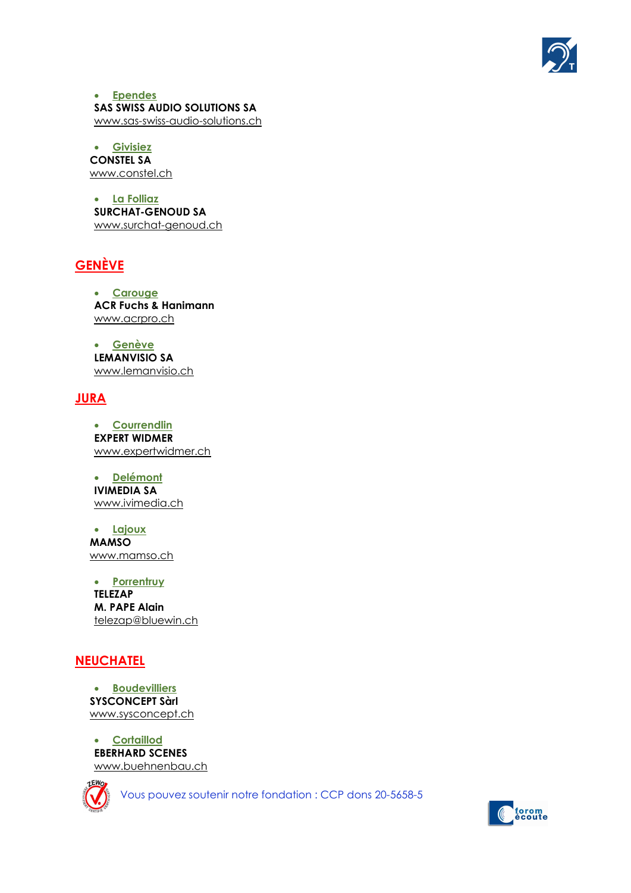

 Ependes SAS SWISS AUDIO SOLUTIONS SA www.sas-swiss-audio-solutions.ch

 Givisiez CONSTEL SA www.constel.ch

 La Folliaz SURCHAT-GENOUD SA www.surchat-genoud.ch

# GENÈVE

• Carouge ACR Fuchs & Hanimann www.acrpro.ch

 Genève LEMANVISIO SA www.lemanvisio.ch

## **JURA**

 Courrendlin EXPERT WIDMER www.expertwidmer.ch

• Delémont IVIMEDIA SA www.ivimedia.ch

 Lajoux MAMSO www.mamso.ch

• Porrentruy TELEZAP M. PAPE Alain telezap@bluewin.ch

#### **NEUCHATEL**

 Boudevilliers SYSCONCEPT Sàrl www.sysconcept.ch

 Cortaillod EBERHARD SCENES www.buehnenbau.ch



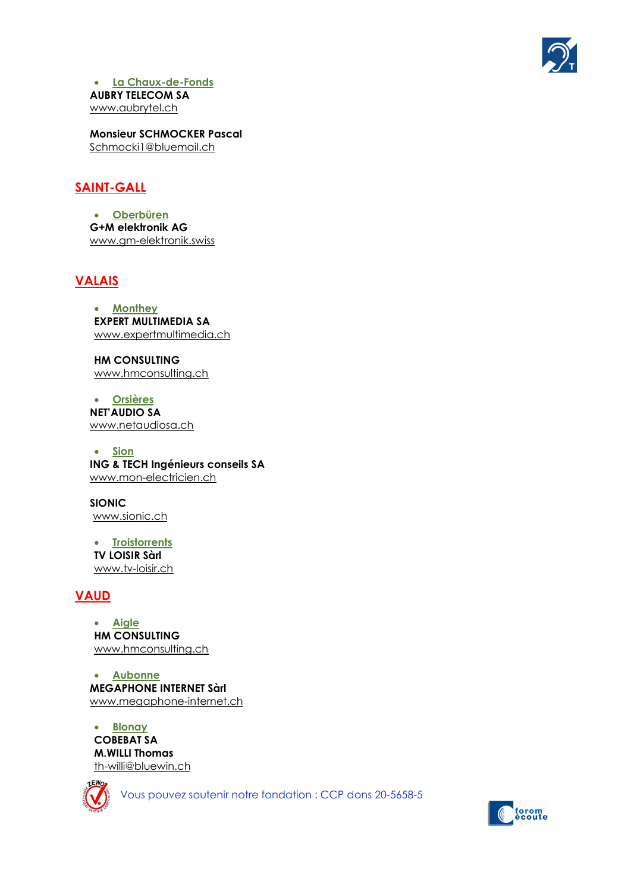

 La Chaux-de-Fonds AUBRY TELECOM SA www.aubrytel.ch

 Monsieur SCHMOCKER Pascal Schmocki1@bluemail.ch

## SAINT-GALL

 Oberbüren G+M elektronik AG www.gm-elektronik.swiss

#### VALAIS

• Monthey EXPERT MULTIMEDIA SA www.expertmultimedia.ch

HM CONSULTING www.hmconsulting.ch

 Orsières NET'AUDIO SA www.netaudiosa.ch

• Sion ING & TECH Ingénieurs conseils SA www.mon-electricien.ch

 SIONIC www.sionic.ch

• Troistorrents TV LOISIR Sàrl www.tv-loisir.ch

# VAUD

 Aigle HM CONSULTING www.hmconsulting.ch

 Aubonne MEGAPHONE INTERNET Sàrl www.megaphone-internet.ch

• Blonay COBEBAT SA M.WILLI Thomas th-willi@bluewin.ch



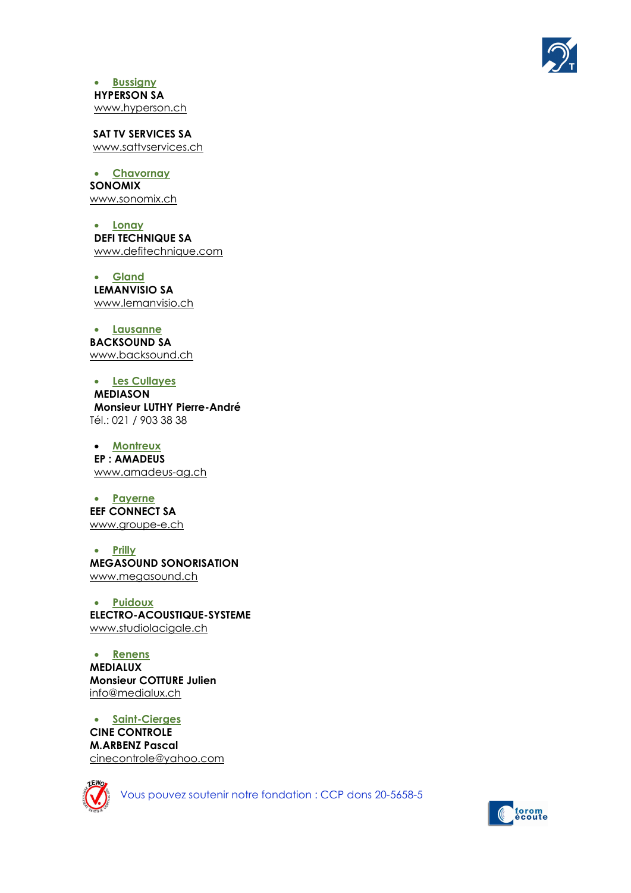

• **Bussigny** HYPERSON SA www.hyperson.ch

 SAT TV SERVICES SA www.sattvservices.ch

 Chavornay SONOMIX www.sonomix.ch

• Lonay DEFI TECHNIQUE SA www.defitechnique.com

 Gland LEMANVISIO SA www.lemanvisio.ch

 Lausanne BACKSOUND SA www.backsound.ch

 Les Cullayes MEDIASON Monsieur LUTHY Pierre-André Tél.: 021 / 903 38 38

• Montreux EP : AMADEUS www.amadeus-ag.ch

 Payerne EEF CONNECT SA www.groupe-e.ch

• Prilly MEGASOUND SONORISATION www.megasound.ch

 Puidoux ELECTRO-ACOUSTIQUE-SYSTEME www.studiolacigale.ch

 Renens MEDIALUX Monsieur COTTURE Julien info@medialux.ch

 Saint-Cierges CINE CONTROLE M.ARBENZ Pascal cinecontrole@yahoo.com